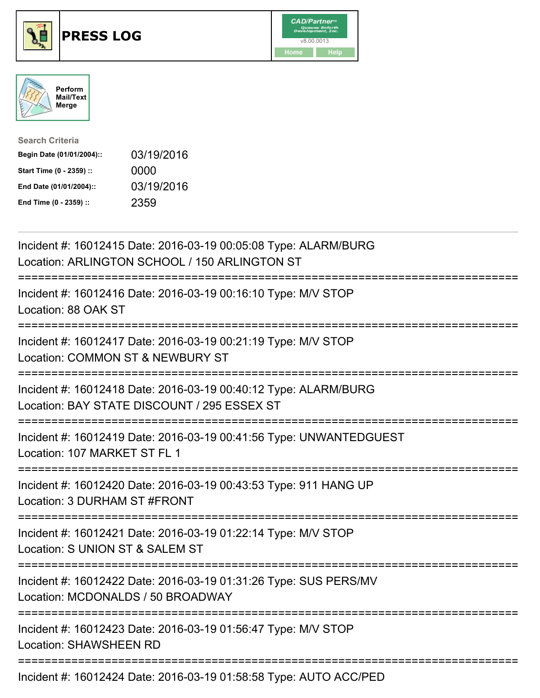





| <b>Search Criteria</b>    |            |
|---------------------------|------------|
| Begin Date (01/01/2004):: | 03/19/2016 |
| Start Time (0 - 2359) ::  | 0000       |
| End Date (01/01/2004)::   | 03/19/2016 |
| End Time (0 - 2359) ::    | 2359       |

| Incident #: 16012415 Date: 2016-03-19 00:05:08 Type: ALARM/BURG<br>Location: ARLINGTON SCHOOL / 150 ARLINGTON ST                          |
|-------------------------------------------------------------------------------------------------------------------------------------------|
| Incident #: 16012416 Date: 2016-03-19 00:16:10 Type: M/V STOP<br>Location: 88 OAK ST                                                      |
| Incident #: 16012417 Date: 2016-03-19 00:21:19 Type: M/V STOP<br>Location: COMMON ST & NEWBURY ST                                         |
| Incident #: 16012418 Date: 2016-03-19 00:40:12 Type: ALARM/BURG<br>Location: BAY STATE DISCOUNT / 295 ESSEX ST<br>======================= |
| Incident #: 16012419 Date: 2016-03-19 00:41:56 Type: UNWANTEDGUEST<br>Location: 107 MARKET ST FL 1                                        |
| Incident #: 16012420 Date: 2016-03-19 00:43:53 Type: 911 HANG UP<br>Location: 3 DURHAM ST #FRONT<br>:=======================              |
| Incident #: 16012421 Date: 2016-03-19 01:22:14 Type: M/V STOP<br>Location: S UNION ST & SALEM ST<br>=========================             |
| Incident #: 16012422 Date: 2016-03-19 01:31:26 Type: SUS PERS/MV<br>Location: MCDONALDS / 50 BROADWAY<br>---------------------------      |
| Incident #: 16012423 Date: 2016-03-19 01:56:47 Type: M/V STOP<br><b>Location: SHAWSHEEN RD</b>                                            |
| Incident #: 16012424 Date: 2016-03-19 01:58:58 Type: AUTO ACC/PED                                                                         |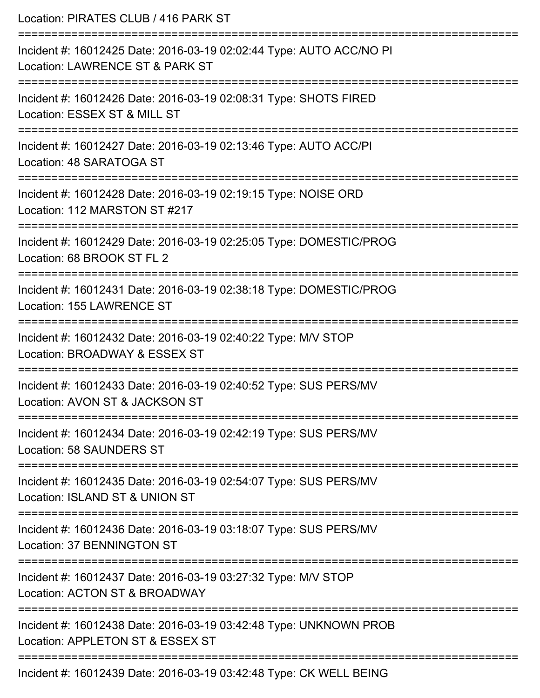| Location: PIRATES CLUB / 416 PARK ST                                                                                          |
|-------------------------------------------------------------------------------------------------------------------------------|
| Incident #: 16012425 Date: 2016-03-19 02:02:44 Type: AUTO ACC/NO PI<br>Location: LAWRENCE ST & PARK ST                        |
| Incident #: 16012426 Date: 2016-03-19 02:08:31 Type: SHOTS FIRED<br>Location: ESSEX ST & MILL ST                              |
| Incident #: 16012427 Date: 2016-03-19 02:13:46 Type: AUTO ACC/PI<br>Location: 48 SARATOGA ST                                  |
| Incident #: 16012428 Date: 2016-03-19 02:19:15 Type: NOISE ORD<br>Location: 112 MARSTON ST #217                               |
| Incident #: 16012429 Date: 2016-03-19 02:25:05 Type: DOMESTIC/PROG<br>Location: 68 BROOK ST FL 2                              |
| Incident #: 16012431 Date: 2016-03-19 02:38:18 Type: DOMESTIC/PROG<br>Location: 155 LAWRENCE ST                               |
| Incident #: 16012432 Date: 2016-03-19 02:40:22 Type: M/V STOP<br>Location: BROADWAY & ESSEX ST<br>=========================== |
| Incident #: 16012433 Date: 2016-03-19 02:40:52 Type: SUS PERS/MV<br>Location: AVON ST & JACKSON ST                            |
| Incident #: 16012434 Date: 2016-03-19 02:42:19 Type: SUS PERS/MV<br>Location: 58 SAUNDERS ST                                  |
| Incident #: 16012435 Date: 2016-03-19 02:54:07 Type: SUS PERS/MV<br>Location: ISLAND ST & UNION ST                            |
| Incident #: 16012436 Date: 2016-03-19 03:18:07 Type: SUS PERS/MV<br>Location: 37 BENNINGTON ST                                |
| Incident #: 16012437 Date: 2016-03-19 03:27:32 Type: M/V STOP<br>Location: ACTON ST & BROADWAY                                |
| Incident #: 16012438 Date: 2016-03-19 03:42:48 Type: UNKNOWN PROB<br>Location: APPLETON ST & ESSEX ST                         |
| Incident #: 16012439 Date: 2016-03-19 03:42:48 Type: CK WELL BEING                                                            |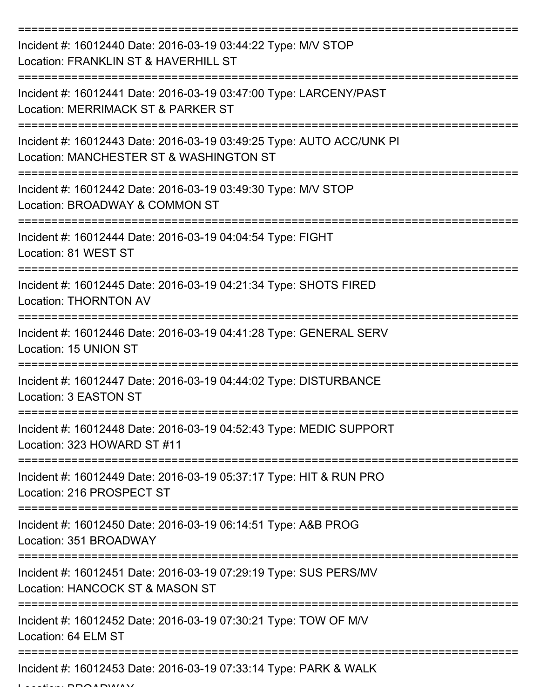| Incident #: 16012440 Date: 2016-03-19 03:44:22 Type: M/V STOP<br>Location: FRANKLIN ST & HAVERHILL ST           |
|-----------------------------------------------------------------------------------------------------------------|
| Incident #: 16012441 Date: 2016-03-19 03:47:00 Type: LARCENY/PAST<br>Location: MERRIMACK ST & PARKER ST         |
| Incident #: 16012443 Date: 2016-03-19 03:49:25 Type: AUTO ACC/UNK PI<br>Location: MANCHESTER ST & WASHINGTON ST |
| Incident #: 16012442 Date: 2016-03-19 03:49:30 Type: M/V STOP<br>Location: BROADWAY & COMMON ST                 |
| Incident #: 16012444 Date: 2016-03-19 04:04:54 Type: FIGHT<br>Location: 81 WEST ST                              |
| Incident #: 16012445 Date: 2016-03-19 04:21:34 Type: SHOTS FIRED<br><b>Location: THORNTON AV</b>                |
| Incident #: 16012446 Date: 2016-03-19 04:41:28 Type: GENERAL SERV<br>Location: 15 UNION ST                      |
| Incident #: 16012447 Date: 2016-03-19 04:44:02 Type: DISTURBANCE<br>Location: 3 EASTON ST                       |
| Incident #: 16012448 Date: 2016-03-19 04:52:43 Type: MEDIC SUPPORT<br>Location: 323 HOWARD ST #11               |
| Incident #: 16012449 Date: 2016-03-19 05:37:17 Type: HIT & RUN PRO<br>Location: 216 PROSPECT ST                 |
| Incident #: 16012450 Date: 2016-03-19 06:14:51 Type: A&B PROG<br>Location: 351 BROADWAY                         |
| Incident #: 16012451 Date: 2016-03-19 07:29:19 Type: SUS PERS/MV<br>Location: HANCOCK ST & MASON ST             |
| Incident #: 16012452 Date: 2016-03-19 07:30:21 Type: TOW OF M/V<br>Location: 64 ELM ST                          |
| Incident #: 16012453 Date: 2016-03-19 07:33:14 Type: PARK & WALK                                                |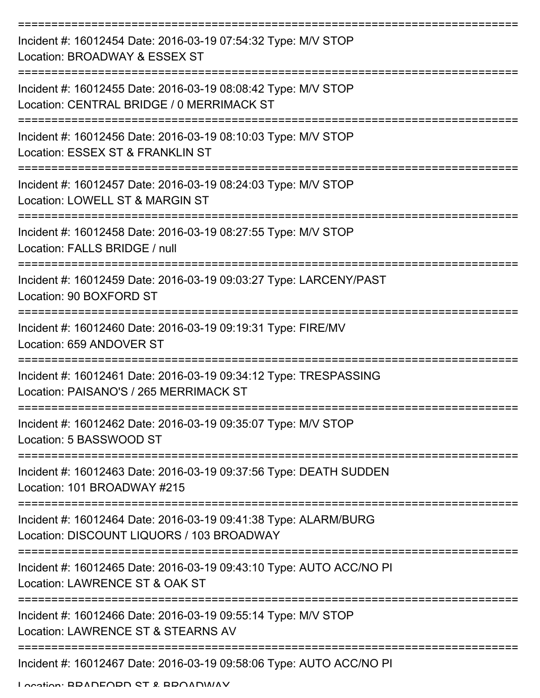| Incident #: 16012454 Date: 2016-03-19 07:54:32 Type: M/V STOP<br>Location: BROADWAY & ESSEX ST               |
|--------------------------------------------------------------------------------------------------------------|
| Incident #: 16012455 Date: 2016-03-19 08:08:42 Type: M/V STOP<br>Location: CENTRAL BRIDGE / 0 MERRIMACK ST   |
| Incident #: 16012456 Date: 2016-03-19 08:10:03 Type: M/V STOP<br>Location: ESSEX ST & FRANKLIN ST            |
| Incident #: 16012457 Date: 2016-03-19 08:24:03 Type: M/V STOP<br>Location: LOWELL ST & MARGIN ST             |
| Incident #: 16012458 Date: 2016-03-19 08:27:55 Type: M/V STOP<br>Location: FALLS BRIDGE / null               |
| Incident #: 16012459 Date: 2016-03-19 09:03:27 Type: LARCENY/PAST<br>Location: 90 BOXFORD ST                 |
| Incident #: 16012460 Date: 2016-03-19 09:19:31 Type: FIRE/MV<br>Location: 659 ANDOVER ST                     |
| Incident #: 16012461 Date: 2016-03-19 09:34:12 Type: TRESPASSING<br>Location: PAISANO'S / 265 MERRIMACK ST   |
| Incident #: 16012462 Date: 2016-03-19 09:35:07 Type: M/V STOP<br>Location: 5 BASSWOOD ST                     |
| Incident #: 16012463 Date: 2016-03-19 09:37:56 Type: DEATH SUDDEN<br>Location: 101 BROADWAY #215             |
| Incident #: 16012464 Date: 2016-03-19 09:41:38 Type: ALARM/BURG<br>Location: DISCOUNT LIQUORS / 103 BROADWAY |
| Incident #: 16012465 Date: 2016-03-19 09:43:10 Type: AUTO ACC/NO PI<br>Location: LAWRENCE ST & OAK ST        |
| Incident #: 16012466 Date: 2016-03-19 09:55:14 Type: M/V STOP<br>Location: LAWRENCE ST & STEARNS AV          |
| Incident #: 16012467 Date: 2016-03-19 09:58:06 Type: AUTO ACC/NO PI                                          |

Location: BRADFORD ST & BROADWAY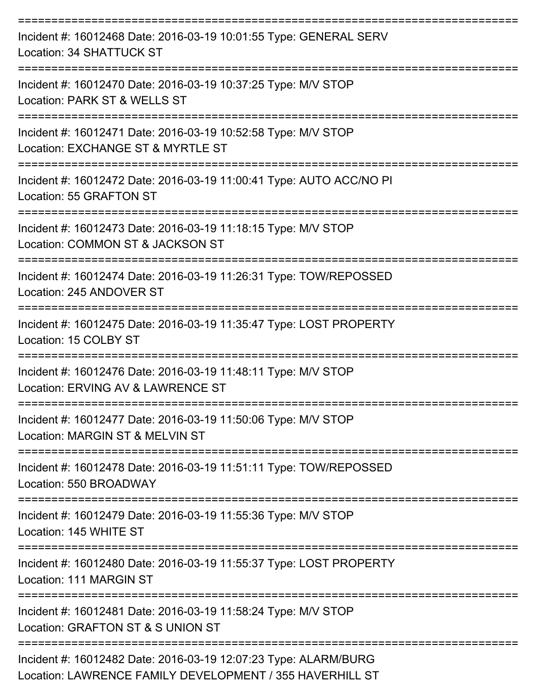| Incident #: 16012468 Date: 2016-03-19 10:01:55 Type: GENERAL SERV<br>Location: 34 SHATTUCK ST                               |
|-----------------------------------------------------------------------------------------------------------------------------|
| Incident #: 16012470 Date: 2016-03-19 10:37:25 Type: M/V STOP<br>Location: PARK ST & WELLS ST                               |
| Incident #: 16012471 Date: 2016-03-19 10:52:58 Type: M/V STOP<br>Location: EXCHANGE ST & MYRTLE ST                          |
| Incident #: 16012472 Date: 2016-03-19 11:00:41 Type: AUTO ACC/NO PI<br>Location: 55 GRAFTON ST                              |
| Incident #: 16012473 Date: 2016-03-19 11:18:15 Type: M/V STOP<br>Location: COMMON ST & JACKSON ST                           |
| Incident #: 16012474 Date: 2016-03-19 11:26:31 Type: TOW/REPOSSED<br>Location: 245 ANDOVER ST                               |
| Incident #: 16012475 Date: 2016-03-19 11:35:47 Type: LOST PROPERTY<br>Location: 15 COLBY ST                                 |
| Incident #: 16012476 Date: 2016-03-19 11:48:11 Type: M/V STOP<br>Location: ERVING AV & LAWRENCE ST                          |
| Incident #: 16012477 Date: 2016-03-19 11:50:06 Type: M/V STOP<br>Location: MARGIN ST & MELVIN ST                            |
| Incident #: 16012478 Date: 2016-03-19 11:51:11 Type: TOW/REPOSSED<br>Location: 550 BROADWAY                                 |
| Incident #: 16012479 Date: 2016-03-19 11:55:36 Type: M/V STOP<br>Location: 145 WHITE ST                                     |
| Incident #: 16012480 Date: 2016-03-19 11:55:37 Type: LOST PROPERTY<br>Location: 111 MARGIN ST                               |
| Incident #: 16012481 Date: 2016-03-19 11:58:24 Type: M/V STOP<br>Location: GRAFTON ST & S UNION ST                          |
| Incident #: 16012482 Date: 2016-03-19 12:07:23 Type: ALARM/BURG<br>Location: LAWRENCE FAMILY DEVELOPMENT / 355 HAVERHILL ST |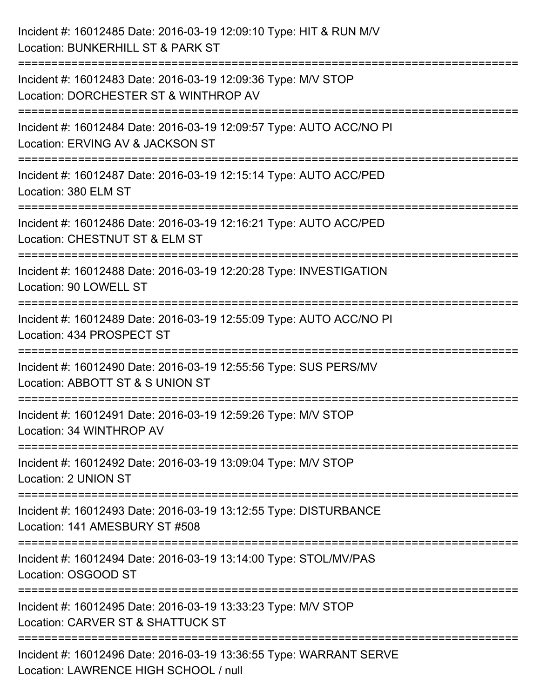| Incident #: 16012485 Date: 2016-03-19 12:09:10 Type: HIT & RUN M/V<br>Location: BUNKERHILL ST & PARK ST                                 |
|-----------------------------------------------------------------------------------------------------------------------------------------|
| ==================<br>Incident #: 16012483 Date: 2016-03-19 12:09:36 Type: M/V STOP<br>Location: DORCHESTER ST & WINTHROP AV            |
| :===========================<br>Incident #: 16012484 Date: 2016-03-19 12:09:57 Type: AUTO ACC/NO PI<br>Location: ERVING AV & JACKSON ST |
| Incident #: 16012487 Date: 2016-03-19 12:15:14 Type: AUTO ACC/PED<br>Location: 380 ELM ST                                               |
| Incident #: 16012486 Date: 2016-03-19 12:16:21 Type: AUTO ACC/PED<br>Location: CHESTNUT ST & ELM ST                                     |
| Incident #: 16012488 Date: 2016-03-19 12:20:28 Type: INVESTIGATION<br>Location: 90 LOWELL ST                                            |
| Incident #: 16012489 Date: 2016-03-19 12:55:09 Type: AUTO ACC/NO PI<br>Location: 434 PROSPECT ST                                        |
| Incident #: 16012490 Date: 2016-03-19 12:55:56 Type: SUS PERS/MV<br>Location: ABBOTT ST & S UNION ST                                    |
| Incident #: 16012491 Date: 2016-03-19 12:59:26 Type: M/V STOP<br>Location: 34 WINTHROP AV                                               |
| Incident #: 16012492 Date: 2016-03-19 13:09:04 Type: M/V STOP<br>Location: 2 UNION ST                                                   |
| Incident #: 16012493 Date: 2016-03-19 13:12:55 Type: DISTURBANCE<br>Location: 141 AMESBURY ST #508                                      |
| Incident #: 16012494 Date: 2016-03-19 13:14:00 Type: STOL/MV/PAS<br>Location: OSGOOD ST                                                 |
| Incident #: 16012495 Date: 2016-03-19 13:33:23 Type: M/V STOP<br>Location: CARVER ST & SHATTUCK ST                                      |
| Incident #: 16012496 Date: 2016-03-19 13:36:55 Type: WARRANT SERVE<br>Location: LAWRENCE HIGH SCHOOL / null                             |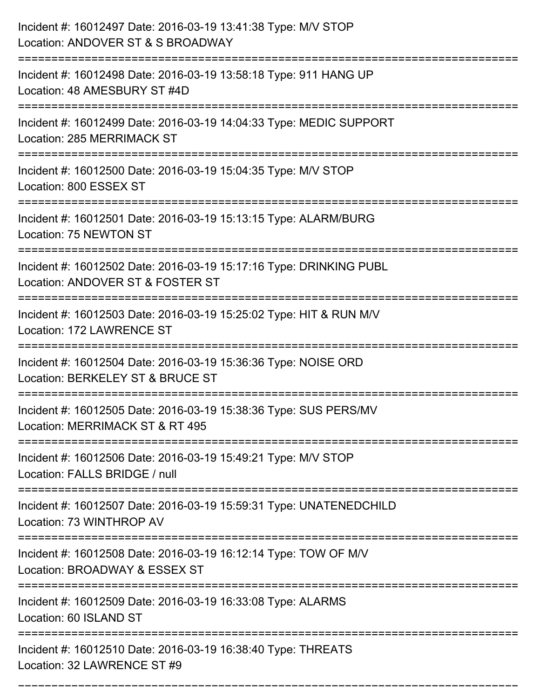| Incident #: 16012497 Date: 2016-03-19 13:41:38 Type: M/V STOP<br>Location: ANDOVER ST & S BROADWAY                        |
|---------------------------------------------------------------------------------------------------------------------------|
| Incident #: 16012498 Date: 2016-03-19 13:58:18 Type: 911 HANG UP<br>Location: 48 AMESBURY ST #4D                          |
| Incident #: 16012499 Date: 2016-03-19 14:04:33 Type: MEDIC SUPPORT<br>Location: 285 MERRIMACK ST<br>:==================== |
| Incident #: 16012500 Date: 2016-03-19 15:04:35 Type: M/V STOP<br>Location: 800 ESSEX ST                                   |
| Incident #: 16012501 Date: 2016-03-19 15:13:15 Type: ALARM/BURG<br>Location: 75 NEWTON ST                                 |
| Incident #: 16012502 Date: 2016-03-19 15:17:16 Type: DRINKING PUBL<br>Location: ANDOVER ST & FOSTER ST                    |
| Incident #: 16012503 Date: 2016-03-19 15:25:02 Type: HIT & RUN M/V<br>Location: 172 LAWRENCE ST                           |
| Incident #: 16012504 Date: 2016-03-19 15:36:36 Type: NOISE ORD<br>Location: BERKELEY ST & BRUCE ST                        |
| Incident #: 16012505 Date: 2016-03-19 15:38:36 Type: SUS PERS/MV<br>Location: MERRIMACK ST & RT 495                       |
| Incident #: 16012506 Date: 2016-03-19 15:49:21 Type: M/V STOP<br>Location: FALLS BRIDGE / null                            |
| Incident #: 16012507 Date: 2016-03-19 15:59:31 Type: UNATENEDCHILD<br>Location: 73 WINTHROP AV                            |
| Incident #: 16012508 Date: 2016-03-19 16:12:14 Type: TOW OF M/V<br>Location: BROADWAY & ESSEX ST                          |
| Incident #: 16012509 Date: 2016-03-19 16:33:08 Type: ALARMS<br>Location: 60 ISLAND ST                                     |
| Incident #: 16012510 Date: 2016-03-19 16:38:40 Type: THREATS<br>Location: 32 LAWRENCE ST #9                               |

===========================================================================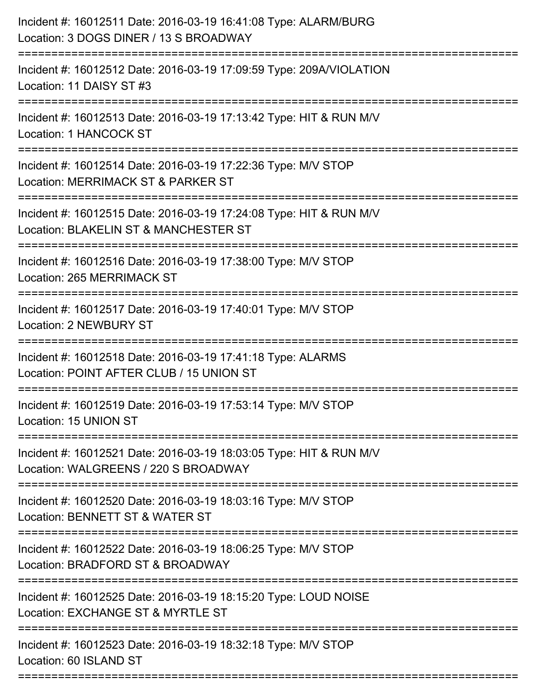| Incident #: 16012511 Date: 2016-03-19 16:41:08 Type: ALARM/BURG<br>Location: 3 DOGS DINER / 13 S BROADWAY   |
|-------------------------------------------------------------------------------------------------------------|
| Incident #: 16012512 Date: 2016-03-19 17:09:59 Type: 209A/VIOLATION<br>Location: 11 DAISY ST #3             |
| Incident #: 16012513 Date: 2016-03-19 17:13:42 Type: HIT & RUN M/V<br>Location: 1 HANCOCK ST                |
| Incident #: 16012514 Date: 2016-03-19 17:22:36 Type: M/V STOP<br>Location: MERRIMACK ST & PARKER ST         |
| Incident #: 16012515 Date: 2016-03-19 17:24:08 Type: HIT & RUN M/V<br>Location: BLAKELIN ST & MANCHESTER ST |
| Incident #: 16012516 Date: 2016-03-19 17:38:00 Type: M/V STOP<br>Location: 265 MERRIMACK ST                 |
| Incident #: 16012517 Date: 2016-03-19 17:40:01 Type: M/V STOP<br><b>Location: 2 NEWBURY ST</b>              |
| Incident #: 16012518 Date: 2016-03-19 17:41:18 Type: ALARMS<br>Location: POINT AFTER CLUB / 15 UNION ST     |
| Incident #: 16012519 Date: 2016-03-19 17:53:14 Type: M/V STOP<br>Location: 15 UNION ST                      |
| Incident #: 16012521 Date: 2016-03-19 18:03:05 Type: HIT & RUN M/V<br>Location: WALGREENS / 220 S BROADWAY  |
| Incident #: 16012520 Date: 2016-03-19 18:03:16 Type: M/V STOP<br>Location: BENNETT ST & WATER ST            |
| Incident #: 16012522 Date: 2016-03-19 18:06:25 Type: M/V STOP<br>Location: BRADFORD ST & BROADWAY           |
| Incident #: 16012525 Date: 2016-03-19 18:15:20 Type: LOUD NOISE<br>Location: EXCHANGE ST & MYRTLE ST        |
| Incident #: 16012523 Date: 2016-03-19 18:32:18 Type: M/V STOP<br>Location: 60 ISLAND ST                     |
|                                                                                                             |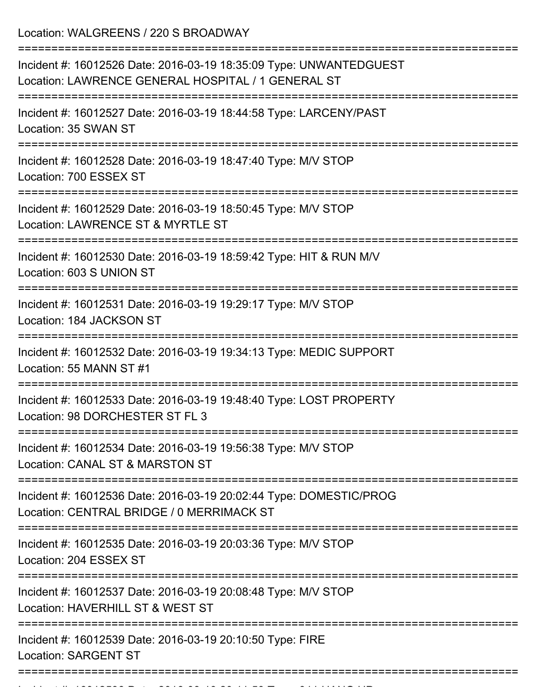Location: WALGREENS / 220 S BROADWAY

| Incident #: 16012526 Date: 2016-03-19 18:35:09 Type: UNWANTEDGUEST<br>Location: LAWRENCE GENERAL HOSPITAL / 1 GENERAL ST      |
|-------------------------------------------------------------------------------------------------------------------------------|
| Incident #: 16012527 Date: 2016-03-19 18:44:58 Type: LARCENY/PAST<br>Location: 35 SWAN ST                                     |
| Incident #: 16012528 Date: 2016-03-19 18:47:40 Type: M/V STOP<br>Location: 700 ESSEX ST                                       |
| Incident #: 16012529 Date: 2016-03-19 18:50:45 Type: M/V STOP<br>Location: LAWRENCE ST & MYRTLE ST                            |
| Incident #: 16012530 Date: 2016-03-19 18:59:42 Type: HIT & RUN M/V<br>Location: 603 S UNION ST                                |
| Incident #: 16012531 Date: 2016-03-19 19:29:17 Type: M/V STOP<br>Location: 184 JACKSON ST                                     |
| Incident #: 16012532 Date: 2016-03-19 19:34:13 Type: MEDIC SUPPORT<br>Location: 55 MANN ST #1                                 |
| Incident #: 16012533 Date: 2016-03-19 19:48:40 Type: LOST PROPERTY<br>Location: 98 DORCHESTER ST FL 3                         |
| Incident #: 16012534 Date: 2016-03-19 19:56:38 Type: M/V STOP<br>Location: CANAL ST & MARSTON ST                              |
| ==========<br>Incident #: 16012536 Date: 2016-03-19 20:02:44 Type: DOMESTIC/PROG<br>Location: CENTRAL BRIDGE / 0 MERRIMACK ST |
| Incident #: 16012535 Date: 2016-03-19 20:03:36 Type: M/V STOP<br>Location: 204 ESSEX ST                                       |
| Incident #: 16012537 Date: 2016-03-19 20:08:48 Type: M/V STOP<br>Location: HAVERHILL ST & WEST ST                             |
| Incident #: 16012539 Date: 2016-03-19 20:10:50 Type: FIRE<br><b>Location: SARGENT ST</b>                                      |
|                                                                                                                               |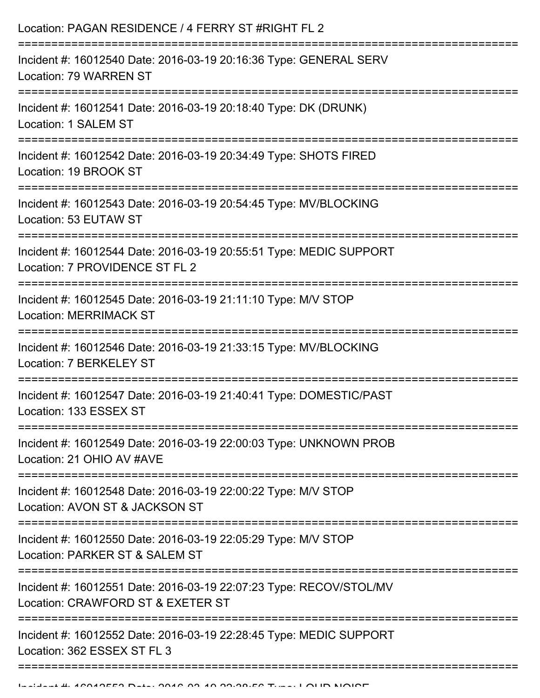| Incident #: 16012540 Date: 2016-03-19 20:16:36 Type: GENERAL SERV<br>Incident #: 16012541 Date: 2016-03-19 20:18:40 Type: DK (DRUNK)<br>Incident #: 16012542 Date: 2016-03-19 20:34:49 Type: SHOTS FIRED<br>Incident #: 16012543 Date: 2016-03-19 20:54:45 Type: MV/BLOCKING<br>Location: 53 EUTAW ST<br>Incident #: 16012544 Date: 2016-03-19 20:55:51 Type: MEDIC SUPPORT<br>Location: 7 PROVIDENCE ST FL 2<br>===============================<br>Incident #: 16012545 Date: 2016-03-19 21:11:10 Type: M/V STOP<br><b>Location: MERRIMACK ST</b><br>Incident #: 16012546 Date: 2016-03-19 21:33:15 Type: MV/BLOCKING<br>Location: 7 BERKELEY ST<br>Incident #: 16012547 Date: 2016-03-19 21:40:41 Type: DOMESTIC/PAST<br>:===============================<br>Incident #: 16012549 Date: 2016-03-19 22:00:03 Type: UNKNOWN PROB<br>Location: 21 OHIO AV #AVE<br>--------------<br>Incident #: 16012548 Date: 2016-03-19 22:00:22 Type: M/V STOP<br>Location: AVON ST & JACKSON ST<br>Incident #: 16012550 Date: 2016-03-19 22:05:29 Type: M/V STOP<br>Location: PARKER ST & SALEM ST<br>Incident #: 16012551 Date: 2016-03-19 22:07:23 Type: RECOV/STOL/MV<br>Location: CRAWFORD ST & EXETER ST<br>Incident #: 16012552 Date: 2016-03-19 22:28:45 Type: MEDIC SUPPORT<br>Location: 362 ESSEX ST FL 3 | Location: PAGAN RESIDENCE / 4 FERRY ST #RIGHT FL 2 |
|-------------------------------------------------------------------------------------------------------------------------------------------------------------------------------------------------------------------------------------------------------------------------------------------------------------------------------------------------------------------------------------------------------------------------------------------------------------------------------------------------------------------------------------------------------------------------------------------------------------------------------------------------------------------------------------------------------------------------------------------------------------------------------------------------------------------------------------------------------------------------------------------------------------------------------------------------------------------------------------------------------------------------------------------------------------------------------------------------------------------------------------------------------------------------------------------------------------------------------------------------------------------------------------------------------|----------------------------------------------------|
|                                                                                                                                                                                                                                                                                                                                                                                                                                                                                                                                                                                                                                                                                                                                                                                                                                                                                                                                                                                                                                                                                                                                                                                                                                                                                                       | Location: 79 WARREN ST                             |
|                                                                                                                                                                                                                                                                                                                                                                                                                                                                                                                                                                                                                                                                                                                                                                                                                                                                                                                                                                                                                                                                                                                                                                                                                                                                                                       | Location: 1 SALEM ST                               |
|                                                                                                                                                                                                                                                                                                                                                                                                                                                                                                                                                                                                                                                                                                                                                                                                                                                                                                                                                                                                                                                                                                                                                                                                                                                                                                       | Location: 19 BROOK ST                              |
|                                                                                                                                                                                                                                                                                                                                                                                                                                                                                                                                                                                                                                                                                                                                                                                                                                                                                                                                                                                                                                                                                                                                                                                                                                                                                                       |                                                    |
|                                                                                                                                                                                                                                                                                                                                                                                                                                                                                                                                                                                                                                                                                                                                                                                                                                                                                                                                                                                                                                                                                                                                                                                                                                                                                                       |                                                    |
|                                                                                                                                                                                                                                                                                                                                                                                                                                                                                                                                                                                                                                                                                                                                                                                                                                                                                                                                                                                                                                                                                                                                                                                                                                                                                                       |                                                    |
|                                                                                                                                                                                                                                                                                                                                                                                                                                                                                                                                                                                                                                                                                                                                                                                                                                                                                                                                                                                                                                                                                                                                                                                                                                                                                                       |                                                    |
|                                                                                                                                                                                                                                                                                                                                                                                                                                                                                                                                                                                                                                                                                                                                                                                                                                                                                                                                                                                                                                                                                                                                                                                                                                                                                                       | Location: 133 ESSEX ST                             |
|                                                                                                                                                                                                                                                                                                                                                                                                                                                                                                                                                                                                                                                                                                                                                                                                                                                                                                                                                                                                                                                                                                                                                                                                                                                                                                       |                                                    |
|                                                                                                                                                                                                                                                                                                                                                                                                                                                                                                                                                                                                                                                                                                                                                                                                                                                                                                                                                                                                                                                                                                                                                                                                                                                                                                       |                                                    |
|                                                                                                                                                                                                                                                                                                                                                                                                                                                                                                                                                                                                                                                                                                                                                                                                                                                                                                                                                                                                                                                                                                                                                                                                                                                                                                       |                                                    |
|                                                                                                                                                                                                                                                                                                                                                                                                                                                                                                                                                                                                                                                                                                                                                                                                                                                                                                                                                                                                                                                                                                                                                                                                                                                                                                       |                                                    |
|                                                                                                                                                                                                                                                                                                                                                                                                                                                                                                                                                                                                                                                                                                                                                                                                                                                                                                                                                                                                                                                                                                                                                                                                                                                                                                       |                                                    |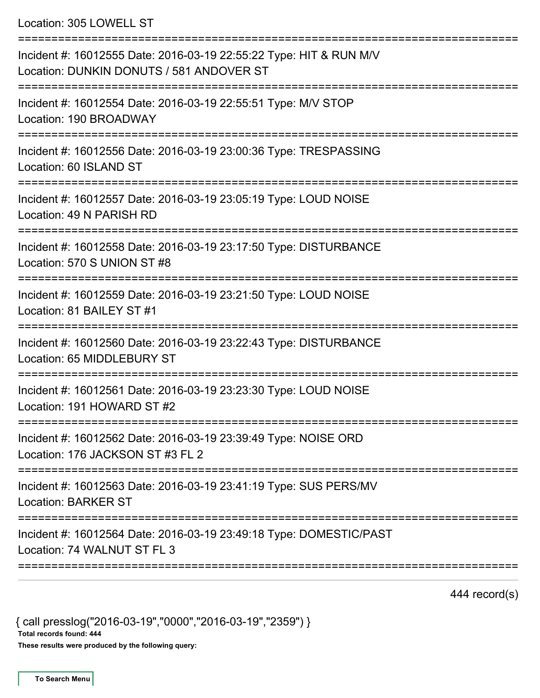Location: 305 LOWELL ST

| Incident #: 16012555 Date: 2016-03-19 22:55:22 Type: HIT & RUN M/V<br>Location: DUNKIN DONUTS / 581 ANDOVER ST |
|----------------------------------------------------------------------------------------------------------------|
| Incident #: 16012554 Date: 2016-03-19 22:55:51 Type: M/V STOP<br>Location: 190 BROADWAY                        |
| Incident #: 16012556 Date: 2016-03-19 23:00:36 Type: TRESPASSING<br>Location: 60 ISLAND ST                     |
| Incident #: 16012557 Date: 2016-03-19 23:05:19 Type: LOUD NOISE<br>Location: 49 N PARISH RD                    |
| Incident #: 16012558 Date: 2016-03-19 23:17:50 Type: DISTURBANCE<br>Location: 570 S UNION ST #8                |
| Incident #: 16012559 Date: 2016-03-19 23:21:50 Type: LOUD NOISE<br>Location: 81 BAILEY ST #1                   |
| Incident #: 16012560 Date: 2016-03-19 23:22:43 Type: DISTURBANCE<br>Location: 65 MIDDLEBURY ST                 |
| Incident #: 16012561 Date: 2016-03-19 23:23:30 Type: LOUD NOISE<br>Location: 191 HOWARD ST #2                  |
| Incident #: 16012562 Date: 2016-03-19 23:39:49 Type: NOISE ORD<br>Location: 176 JACKSON ST #3 FL 2             |
| Incident #: 16012563 Date: 2016-03-19 23:41:19 Type: SUS PERS/MV<br><b>Location: BARKER ST</b>                 |
| Incident #: 16012564 Date: 2016-03-19 23:49:18 Type: DOMESTIC/PAST<br>Location: 74 WALNUT ST FL 3              |
|                                                                                                                |

444 record(s)

{ call presslog("2016-03-19","0000","2016-03-19","2359") } Total records found: 444

These results were produced by the following query: